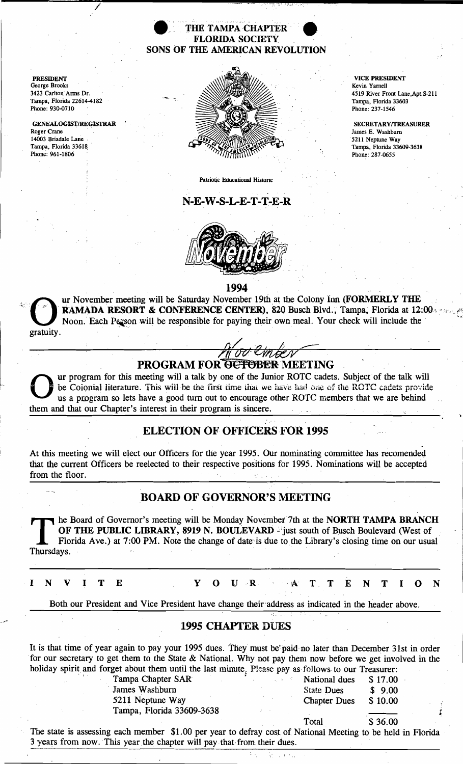#### THE TAMPA CHAPTER FLORIDA SOCIETY SONS OF THE AMERICAN REVOLUTION

PRESIDENT George Brooks 3423 Carlton Arms Dr. Tampa, Florida 22614-4182 Phone: 930-0710

J

GENEALOGIST/REGISTRAR Roger Crane 14003 Briadale Lane . Tampa, Florida 33618 Phone: 961-1806



Patriotic Educational Historic

### N-E-W-S-L-E-T-T-E-R



VICE PRESIDENT Kevin Yarnell 4519 River Front Lane,Apt.S-211 Tampa. Florida 33603 Phone: 237-1546

SECRETARY/TREASURER James E. Washburn 5211 Neptune Way Tampa, Florida 33609-3638 Phone: 287-0655

1994

ur November meeting will be Saturday November 19th at the Colony Inn (FORMERLY THE RAMADA RESORT & CONFERENCE CENTER), 820 Busch Blvd., Tampa, Florida at 12:00 Noon. Each Person will be responsible for paying their own meal. Your check will include the gratuity.

# PROGRAM FOR OCTOBER MEETING

ur program for this meeting will a talk by one of the Junior ROTC cadets. Subject of the talk will be Colonial literature. This will be the first time that we have had one of the ROTC cadets provide us a program so lets ha them and that our Chapter's interest in their program is sincere. Le coionial literature. This will be the first time that we have had one of the us a program so lets have a good turn out to encourage other ROTC member<br>them and that our Chapter's interest in their program is sincere.<br>ELE

### ELECTION OF OFFICERS FOR 1995

At this meeting we will elect our Officers for the year 1995. Our nominating committee has recomended that the current Officers be reelected to their respective positions for 1995. Nominations will be accepted

## BOARD OF GOVERNOR'S MEETING

The Board of Governor's meeting will be Monday November 7th at the NORTH TAMPA BRANCH<br>OF THE PUBLIC LIBRARY, 8919 N. BOULEVARD - just south of Busch Boulevard (West of<br>Florida Ave.) at 7:00 PM. Note the change of date is d OF THE PUBLIC LIBRARY, 8919 N. BOULEVARD - just south of Busch Boulevard (West of Florida Ave.) at 7:00 PM. Note the change of date is due to the Library's closing time on our usual Thursdays.

I N V I T E Y O U R A T T E N T I O N

Both our President and Vice President have change their address as indicated in the header above.

### 1995 CHAPTER DUES

It is that time of year again to pay your 1995 dues. They must be paid no later than December 31st in order for our secretary to get them to the State & National. Why not pay them now before we get involved in the holiday spirit and forget about them until the last minute<sub>;</sub> Please pay as follows to our Treasurer:<br>Tampa Chapter SAR National dues \$ 17.00

**James Washburn** State Dues \$ 9.00 5211 Neptune Way Chapter Dues \$ 10.00 Tampa, Florida 33609-3638 ;

Total \$ 36.00

 $\mathcal{L} = \sqrt{1 + \sum_{i=1}^{n} \sum_{j=1}^{n} \sum_{j=1}^{n} \sum_{j=1}^{n} \sum_{j=1}^{n} \sum_{j=1}^{n} \sum_{j=1}^{n} \sum_{j=1}^{n} \sum_{j=1}^{n} \sum_{j=1}^{n} \sum_{j=1}^{n} \sum_{j=1}^{n} \sum_{j=1}^{n} \sum_{j=1}^{n} \sum_{j=1}^{n} \sum_{j=1}^{n} \sum_{j=1}^{n} \sum_{j=1}^{n} \sum_{j=1}^{n} \sum_{j=1}^{n} \sum_{j=1}^{$ 

The state is assessing each member \$1.00 per year to defray cost of National Meeting to be held in Florida 3 years from now. This year the chapter will pay that from their dues.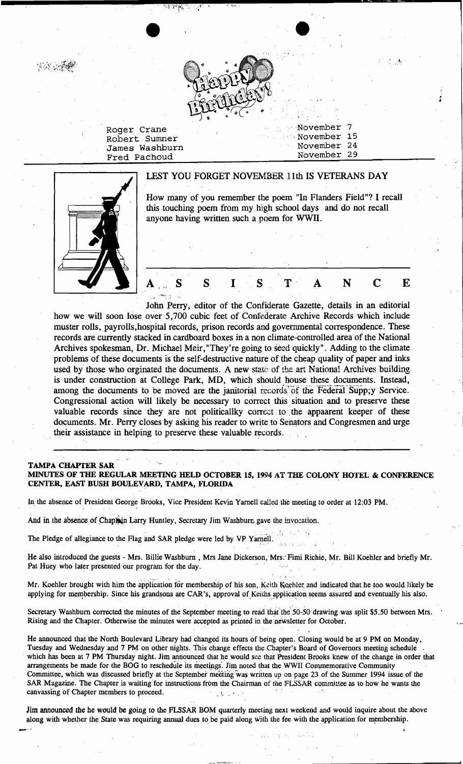

'. 'November November 15

7

•.

 $t'$  " $\sim$   $t$ ";

Roger Crane Robert Sumner James Washburn ... November 24<br>Fred Pachoud ... November 29 Fred Pachoud

LEST YOU FORGET NOVEMBER 11th IS VETERANS DAY How many of you remember the poem "In Flanders Field"? I recall this touching poem from my high school days and do not recall anyone having written such a poem for WWII.  $A_{n,n}$  S S I S T A N C E

John Perry, editor of the Confiderate Gazette, details in an editorial how we will soon lose over 5,700 cubic feet of Confederate Archive Records which include muster rolls, payrolls, hospital records, prison records and governmental correspondence. These records are currently stacked in cardboard boxes in a non climate-controlled area of the National Archives spokesman, Dr. Michael Meir, "They're going to seed quickly". Adding to the climate . problems of these documents is the self-destructive nature of the cheap quality of paper and inks used by those who orginated the documents. A new state of the art National Archives building is under construction at College Park, MD, which should house these documents. Instead, among the documents to be moved are the janitorial records of the Federal Supp;y Service. . Congressional action will likely be necessary to correct this situation and to preserve these valuable records since they are not politicallky correct to the appaarent keeper of these documents. Mr. Perry closes by asking his reader to write to Senators and Congresmen and urge their assistance in helping to preserve these valuable records.

#### TAMPA CHAPTER SAR MINUTES OF THE REGULAR MEETING HELD OCTOBER 15, 1994 AT THE COLONY HOTEL & CONFERENCE CENTER, EAST BUSH BOULEVARD, TAMPA, FLORIDA '

In the absence of President George Brooks, Vice President Kevin Yarnell called the meeting to order at 12:03 PM.

And in the absence of Chaptain Larry Huntley, Secretary Jim Washburn gave the invocation.

The Pledge of allegiance to the Flag and SAR pledge were led by VP Yarnell.

He also introduced the guests - Mrs. Billie Washburn, Mrs Jane Dickerson, Mrs. Fimi Richie, Mr. Bill Koehler and briefly Mr. The Pledge of allegiance to the Flag and SAR pledge were led by VP Yarnell.<br>He also introduced the guests - Mrs. Billie Washburn, Mrs Jane Dickerson, Mrs. Fimi Richie, M<br>Pat Huey who later presented our program for the day

Mr. Koehler brought with him the application for membership of his son, Keith Koehler and indicated that he too would likely be applying for membership. Since his grandsons are CAR's, approval of Keiths application seems assured and eventually his also.

Secretary Washburn corrected the minutes of the September meeting to read that the 50-50 drawing was split \$5.50 between Mrs. Rising and the Chapter; Otherwise the minutes were accepted as printed in the 'ne'wsletter for October.

He announced that' the North Boulevard Library had changed its hours of being open, Closing would be at 9 PM on Monday, Tuesday and Wednesday and 7 PM on other nights. This change effects the Chapter's Board of Governors meeting schedule . which has been at 7 PM Thursday night. Jim announced that he would see that President Brooks knew of the change in order that arrangements be made for the BOG to reschedule its meetings. Jim noted that the WWII Commemorative Community Committee, which was discussed briefly at the September meeting was written up on page 23 of the Summer 1994 issue of the SAR Magazine. The Chapter is waiting for instructions from the Chairman of the FLSSAR committee as to how he wants the canvassing of Chapter members to proceed.  $\mathbb{R}^n$  ,  $\mathbb{R}^n$  ,  $\mathbb{R}^n$ 

Jim announced the he would be going to the FLSSAR BOM quarterly meeting next weekend and would inquire about the above along with whether the State was requiring annual dues to be paid along with the fee with the application for membership.

.<br>وار مينسيان